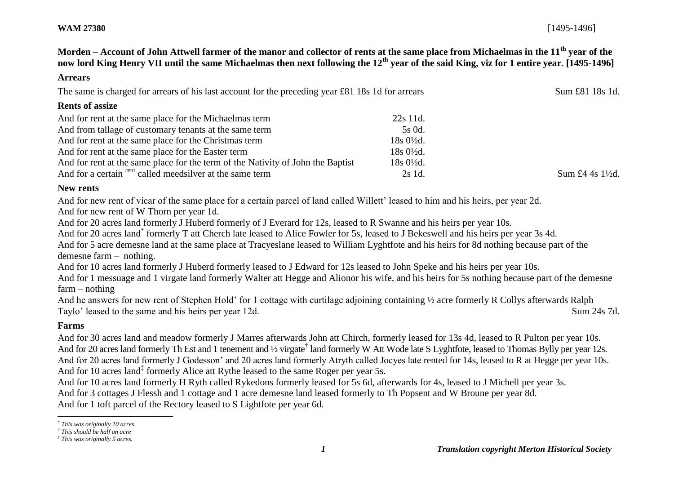**Morden – Account of John Attwell farmer of the manor and collector of rents at the same place from Michaelmas in the 11th year of the now lord King Henry VII until the same Michaelmas then next following the 12th year of the said King, viz for 1 entire year. [1495-1496]**

#### **Arrears**

The same is charged for arrears of his last account for the preceding year £81 18s 1d for arrears Sum £81 18s 1d.

#### **Rents of assize**

| And for rent at the same place for the Michaelmas term                          | 22s 11d.             |               |
|---------------------------------------------------------------------------------|----------------------|---------------|
| And from tallage of customary tenants at the same term                          | 5s 0d.               |               |
| And for rent at the same place for the Christmas term                           | 18s 0½d.             |               |
| And for rent at the same place for the Easter term                              | $18s \frac{0}{2}d$ . |               |
| And for rent at the same place for the term of the Nativity of John the Baptist | $18s0\frac{1}{2}d$ . |               |
| And for a certain <sup>rent</sup> called meedsilver at the same term            | 2s 1d.               | Sum £4 4s 1\% |

#### **New rents**

And for new rent of vicar of the same place for a certain parcel of land called Willett' leased to him and his heirs, per year 2d.

And for new rent of W Thorn per year 1d.

And for 20 acres land formerly J Huberd formerly of J Everard for 12s, leased to R Swanne and his heirs per year 10s.

And for 20 acres land<sup>\*</sup> formerly T att Cherch late leased to Alice Fowler for 5s, leased to J Bekeswell and his heirs per year 3s 4d.

And for 5 acre demesne land at the same place at Tracyeslane leased to William Lyghtfote and his heirs for 8d nothing because part of the demesne farm – nothing.

And for 10 acres land formerly J Huberd formerly leased to J Edward for 12s leased to John Speke and his heirs per year 10s.

And for 1 messuage and 1 virgate land formerly Walter att Hegge and Alionor his wife, and his heirs for 5s nothing because part of the demesne farm – nothing

And he answers for new rent of Stephen Hold' for 1 cottage with curtilage adjoining containing ½ acre formerly R Collys afterwards Ralph Taylo' leased to the same and his heirs per year 12d. Sum 24s 7d.

# **Farms**

l

And for 30 acres land and meadow formerly J Marres afterwards John att Chirch, formerly leased for 13s 4d, leased to R Pulton per year 10s. And for 20 acres land formerly Th Est and 1 tenement and 1/2 virgate<sup>†</sup> land formerly W Att Wode late S Lyghtfote, leased to Thomas Bylly per year 12s. And for 20 acres land formerly J Godesson' and 20 acres land formerly Atryth called Jocyes late rented for 14s, leased to R at Hegge per year 10s. And for 10 acres land<sup>‡</sup> formerly Alice att Rythe leased to the same Roger per year 5s.

And for 10 acres land formerly H Ryth called Rykedons formerly leased for 5s 6d, afterwards for 4s, leased to J Michell per year 3s. And for 3 cottages J Flessh and 1 cottage and 1 acre demesne land leased formerly to Th Popsent and W Broune per year 8d. And for 1 toft parcel of the Rectory leased to S Lightfote per year 6d.

*<sup>\*</sup> This was originally 10 acres.*

*<sup>†</sup> This should be half an acre*

*<sup>‡</sup> This was originally 5 acres.*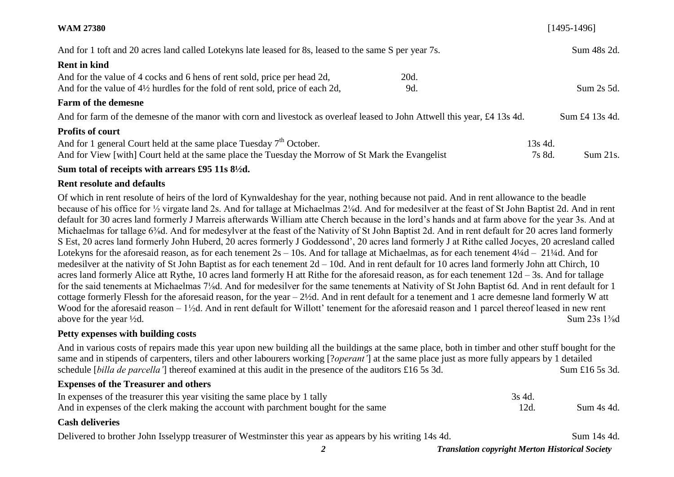| <b>WAM 27380</b>                                                                                                          | $[1495-1496]$      |
|---------------------------------------------------------------------------------------------------------------------------|--------------------|
| And for 1 toft and 20 acres land called Lotekyns late leased for 8s, leased to the same S per year 7s.                    | Sum 48s 2d.        |
| <b>Rent in kind</b>                                                                                                       |                    |
| And for the value of 4 cocks and 6 hens of rent sold, price per head 2d,<br>20d.                                          |                    |
| And for the value of $4\frac{1}{2}$ hurdles for the fold of rent sold, price of each 2d,<br>9d.                           | Sum 2s 5d.         |
| <b>Farm of the demesne</b>                                                                                                |                    |
| And for farm of the demesne of the manor with corn and livestock as overleaf leased to John Attwell this year, £4 13s 4d. | Sum £4 13s 4d.     |
| <b>Profits of court</b>                                                                                                   |                    |
| And for 1 general Court held at the same place Tuesday $7th$ October.                                                     | 13s 4d.            |
| And for View [with] Court held at the same place the Tuesday the Morrow of St Mark the Evangelist                         | Sum 21s.<br>7s 8d. |
|                                                                                                                           |                    |

## **Sum total of receipts with arrears £95 11s 8½d.**

#### **Rent resolute and defaults**

Of which in rent resolute of heirs of the lord of Kynwaldeshay for the year, nothing because not paid. And in rent allowance to the beadle because of his office for ½ virgate land 2s. And for tallage at Michaelmas 2⅛d. And for medesilver at the feast of St John Baptist 2d. And in rent default for 30 acres land formerly J Marreis afterwards William atte Cherch because in the lord's hands and at farm above for the year 3s. And at Michaelmas for tallage 6<sup>3</sup>/<sub>8</sub>d. And for medesylver at the feast of the Nativity of St John Baptist 2d. And in rent default for 20 acres land formerly S Est, 20 acres land formerly John Huberd, 20 acres formerly J Goddessond', 20 acres land formerly J at Rithe called Jocyes, 20 acresland called Lotekyns for the aforesaid reason, as for each tenement  $2s - 10s$ . And for tallage at Michaelmas, as for each tenement  $4\frac{1}{4}d - 21\frac{1}{4}d$ . And for medesilver at the nativity of St John Baptist as for each tenement 2d – 10d. And in rent default for 10 acres land formerly John att Chirch, 10 acres land formerly Alice att Rythe, 10 acres land formerly H att Rithe for the aforesaid reason, as for each tenement 12d – 3s. And for tallage for the said tenements at Michaelmas 7⅛d. And for medesilver for the same tenements at Nativity of St John Baptist 6d. And in rent default for 1 cottage formerly Flessh for the aforesaid reason, for the year – 2½d. And in rent default for a tenement and 1 acre demesne land formerly W att Wood for the aforesaid reason – 1<sup>1</sup>/<sub>2</sub>d. And in rent default for Willott' tenement for the aforesaid reason and 1 parcel thereof leased in new rent above for the year <sup>1</sup>/2d. Sum 23s 1<sup>3</sup>/<sub>8</sub>d

## **Petty expenses with building costs**

And in various costs of repairs made this year upon new building all the buildings at the same place, both in timber and other stuff bought for the same and in stipends of carpenters, tilers and other labourers working [?*operant'*] at the same place just as more fully appears by 1 detailed schedule [*billa de parcella'*] thereof examined at this audit in the presence of the auditors £16 5s 3d. Sum £16 5s 3d.

## **Expenses of the Treasurer and others**

| In expenses of the treasurer this year visiting the same place by 1 tally          | 3s 4d |            |
|------------------------------------------------------------------------------------|-------|------------|
| And in expenses of the clerk making the account with parchment bought for the same |       | Sum 4s 4d. |

## **Cash deliveries**

Delivered to brother John Isselypp treasurer of Westminster this year as appears by his writing 14s 4d. Sum 14s 4d.

*2 Translation copyright Merton Historical Society*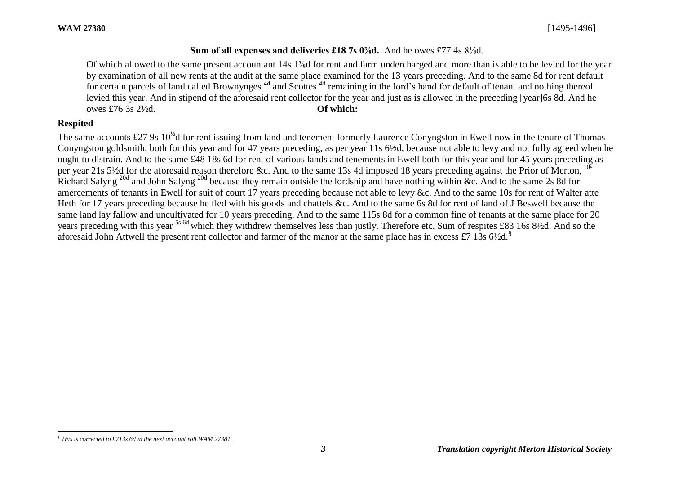## **Sum of all expenses and deliveries £18 7s 0⅜d.** And he owes £77 4s 8⅛d.

Of which allowed to the same present accountant 14s 1⅝d for rent and farm undercharged and more than is able to be levied for the year by examination of all new rents at the audit at the same place examined for the 13 years preceding. And to the same 8d for rent default for certain parcels of land called Brownynges<sup>4d</sup> and Scottes<sup>4d</sup> remaining in the lord's hand for default of tenant and nothing thereof levied this year. And in stipend of the aforesaid rent collector for the year and just as is allowed in the preceding [year]6s 8d. And he owes £76 3s 2½d. **Of which:**

# **Respited**

The same accounts £27 9s  $10^{1/2}$ d for rent issuing from land and tenement formerly Laurence Conyngston in Ewell now in the tenure of Thomas Conyngston goldsmith, both for this year and for 47 years preceding, as per year 11s 6½d, because not able to levy and not fully agreed when he ought to distrain. And to the same £48 18s 6d for rent of various lands and tenements in Ewell both for this year and for 45 years preceding as per year 21s 5½d for the aforesaid reason therefore &c. And to the same 13s 4d imposed 18 years preceding against the Prior of Merton, <sup>10s</sup> Richard Salyng<sup>20d</sup> and John Salyng<sup>20d</sup> because they remain outside the lordship and have nothing within &c. And to the same 2s 8d for amercements of tenants in Ewell for suit of court 17 years preceding because not able to levy &c. And to the same 10s for rent of Walter atte Heth for 17 years preceding because he fled with his goods and chattels &c. And to the same 6s 8d for rent of land of J Beswell because the same land lay fallow and uncultivated for 10 years preceding. And to the same 115s 8d for a common fine of tenants at the same place for 20 years preceding with this year 5s 6d which they withdrew themselves less than justly*.* Therefore etc. Sum of respites £83 16s 8½d. And so the aforesaid John Attwell the present rent collector and farmer of the manor at the same place has in excess £7 13s 6½d.<sup>§</sup>

l *§ This is corrected to £713s 6d in the next account roll WAM 27381.*